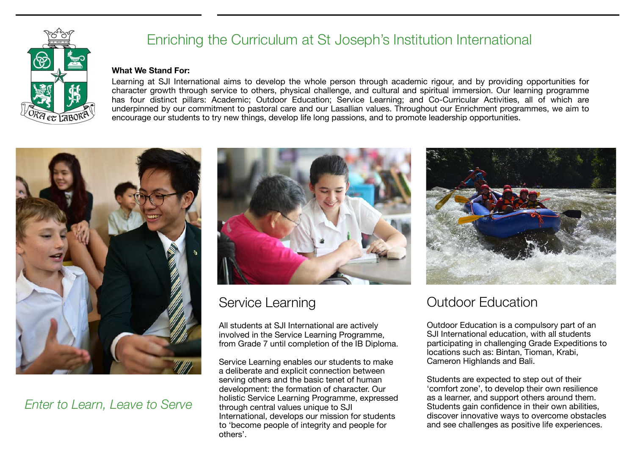

# Enriching the Curriculum at St Joseph's Institution International

#### **What We Stand For:**

Learning at SJI International aims to develop the whole person through academic rigour, and by providing opportunities for character growth through service to others, physical challenge, and cultural and spiritual immersion. Our learning programme has four distinct pillars: Academic; Outdoor Education; Service Learning; and Co-Curricular Activities, all of which are underpinned by our commitment to pastoral care and our Lasallian values. Throughout our Enrichment programmes, we aim to encourage our students to try new things, develop life long passions, and to promote leadership opportunities.



#### *Enter to Learn, Leave to Serve*



### Service Learning

All students at SJI International are actively involved in the Service Learning Programme, from Grade 7 until completion of the IB Diploma.

Service Learning enables our students to make a deliberate and explicit connection between serving others and the basic tenet of human development: the formation of character. Our holistic Service Learning Programme, expressed through central values unique to SJI International, develops our mission for students to 'become people of integrity and people for others'.



# Outdoor Education

Outdoor Education is a compulsory part of an SJI International education, with all students participating in challenging Grade Expeditions to locations such as: Bintan, Tioman, Krabi, Cameron Highlands and Bali.

Students are expected to step out of their 'comfort zone', to develop their own resilience as a learner, and support others around them. Students gain confidence in their own abilities, discover innovative ways to overcome obstacles and see challenges as positive life experiences.